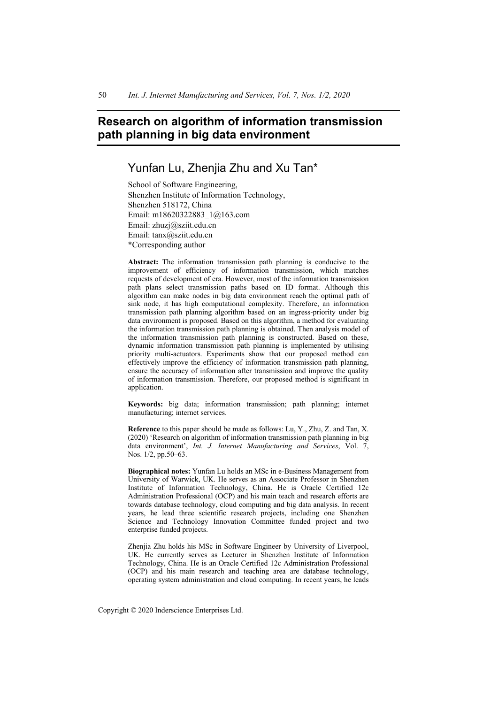# **Research on algorithm of information transmission path planning in big data environment**

# Yunfan Lu, Zhenjia Zhu and Xu Tan\*

School of Software Engineering, Shenzhen Institute of Information Technology, Shenzhen 518172, China Email: m18620322883\_1@163.com Email: zhuzj@sziit.edu.cn Email: tanx@sziit.edu.cn \*Corresponding author

**Abstract:** The information transmission path planning is conducive to the improvement of efficiency of information transmission, which matches requests of development of era. However, most of the information transmission path plans select transmission paths based on ID format. Although this algorithm can make nodes in big data environment reach the optimal path of sink node, it has high computational complexity. Therefore, an information transmission path planning algorithm based on an ingress-priority under big data environment is proposed. Based on this algorithm, a method for evaluating the information transmission path planning is obtained. Then analysis model of the information transmission path planning is constructed. Based on these, dynamic information transmission path planning is implemented by utilising priority multi-actuators. Experiments show that our proposed method can effectively improve the efficiency of information transmission path planning, ensure the accuracy of information after transmission and improve the quality of information transmission. Therefore, our proposed method is significant in application.

**Keywords:** big data; information transmission; path planning; internet manufacturing; internet services.

**Reference** to this paper should be made as follows: Lu, Y., Zhu, Z. and Tan, X. (2020) 'Research on algorithm of information transmission path planning in big data environment', *Int. J. Internet Manufacturing and Services*, Vol. 7, Nos. 1/2, pp.50–63.

**Biographical notes:** Yunfan Lu holds an MSc in e-Business Management from University of Warwick, UK. He serves as an Associate Professor in Shenzhen Institute of Information Technology, China. He is Oracle Certified 12c Administration Professional (OCP) and his main teach and research efforts are towards database technology, cloud computing and big data analysis. In recent years, he lead three scientific research projects, including one Shenzhen Science and Technology Innovation Committee funded project and two enterprise funded projects.

Zhenjia Zhu holds his MSc in Software Engineer by University of Liverpool, UK. He currently serves as Lecturer in Shenzhen Institute of Information Technology, China. He is an Oracle Certified 12c Administration Professional (OCP) and his main research and teaching area are database technology, operating system administration and cloud computing. In recent years, he leads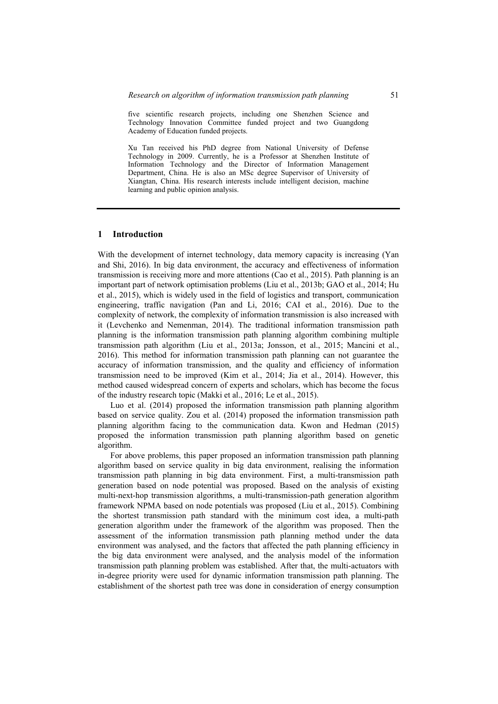five scientific research projects, including one Shenzhen Science and Technology Innovation Committee funded project and two Guangdong Academy of Education funded projects.

Xu Tan received his PhD degree from National University of Defense Technology in 2009. Currently, he is a Professor at Shenzhen Institute of Information Technology and the Director of Information Management Department, China. He is also an MSc degree Supervisor of University of Xiangtan, China. His research interests include intelligent decision, machine learning and public opinion analysis.

#### **1 Introduction**

With the development of internet technology, data memory capacity is increasing (Yan and Shi, 2016). In big data environment, the accuracy and effectiveness of information transmission is receiving more and more attentions (Cao et al., 2015). Path planning is an important part of network optimisation problems (Liu et al., 2013b; GAO et al., 2014; Hu et al., 2015), which is widely used in the field of logistics and transport, communication engineering, traffic navigation (Pan and Li, 2016; CAI et al., 2016). Due to the complexity of network, the complexity of information transmission is also increased with it (Levchenko and Nemenman, 2014). The traditional information transmission path planning is the information transmission path planning algorithm combining multiple transmission path algorithm (Liu et al., 2013a; Jonsson, et al., 2015; Mancini et al., 2016). This method for information transmission path planning can not guarantee the accuracy of information transmission, and the quality and efficiency of information transmission need to be improved (Kim et al., 2014; Jia et al., 2014). However, this method caused widespread concern of experts and scholars, which has become the focus of the industry research topic (Makki et al., 2016; Le et al., 2015).

Luo et al. (2014) proposed the information transmission path planning algorithm based on service quality. Zou et al. (2014) proposed the information transmission path planning algorithm facing to the communication data. Kwon and Hedman (2015) proposed the information transmission path planning algorithm based on genetic algorithm.

For above problems, this paper proposed an information transmission path planning algorithm based on service quality in big data environment, realising the information transmission path planning in big data environment. First, a multi-transmission path generation based on node potential was proposed. Based on the analysis of existing multi-next-hop transmission algorithms, a multi-transmission-path generation algorithm framework NPMA based on node potentials was proposed (Liu et al., 2015). Combining the shortest transmission path standard with the minimum cost idea, a multi-path generation algorithm under the framework of the algorithm was proposed. Then the assessment of the information transmission path planning method under the data environment was analysed, and the factors that affected the path planning efficiency in the big data environment were analysed, and the analysis model of the information transmission path planning problem was established. After that, the multi-actuators with in-degree priority were used for dynamic information transmission path planning. The establishment of the shortest path tree was done in consideration of energy consumption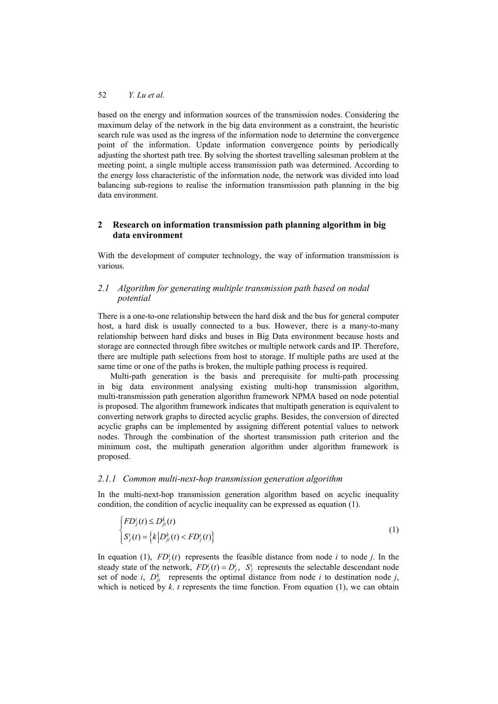based on the energy and information sources of the transmission nodes. Considering the maximum delay of the network in the big data environment as a constraint, the heuristic search rule was used as the ingress of the information node to determine the convergence point of the information. Update information convergence points by periodically adjusting the shortest path tree. By solving the shortest travelling salesman problem at the meeting point, a single multiple access transmission path was determined. According to the energy loss characteristic of the information node, the network was divided into load balancing sub-regions to realise the information transmission path planning in the big data environment.

# **2 Research on information transmission path planning algorithm in big data environment**

With the development of computer technology, the way of information transmission is various.

# *2.1 Algorithm for generating multiple transmission path based on nodal potential*

There is a one-to-one relationship between the hard disk and the bus for general computer host, a hard disk is usually connected to a bus. However, there is a many-to-many relationship between hard disks and buses in Big Data environment because hosts and storage are connected through fibre switches or multiple network cards and IP. Therefore, there are multiple path selections from host to storage. If multiple paths are used at the same time or one of the paths is broken, the multiple pathing process is required.

Multi-path generation is the basis and prerequisite for multi-path processing in big data environment analysing existing multi-hop transmission algorithm, multi-transmission path generation algorithm framework NPMA based on node potential is proposed. The algorithm framework indicates that multipath generation is equivalent to converting network graphs to directed acyclic graphs. Besides, the conversion of directed acyclic graphs can be implemented by assigning different potential values to network nodes. Through the combination of the shortest transmission path criterion and the minimum cost, the multipath generation algorithm under algorithm framework is proposed.

## *2.1.1 Common multi-next-hop transmission generation algorithm*

In the multi-next-hop transmission generation algorithm based on acyclic inequality condition, the condition of acyclic inequality can be expressed as equation (1).

$$
\begin{cases}\nFD_j^i(t) \le D_{ji}^k(t) \\
S_j^i(t) = \left\{ k \middle| D_{ji}^k(t) < FD_j^i(t) \right\}\n\end{cases} \tag{1}
$$

In equation (1),  $FD_i^j(t)$  represents the feasible distance from node *i* to node *j*. In the steady state of the network,  $FD_i^i(t) = D_i^i$ ,  $S_i^i$  represents the selectable descendant node set of node *i*,  $D_{ii}^k$  represents the optimal distance from node *i* to destination node *j*, which is noticed by *k*. *t* represents the time function. From equation (1), we can obtain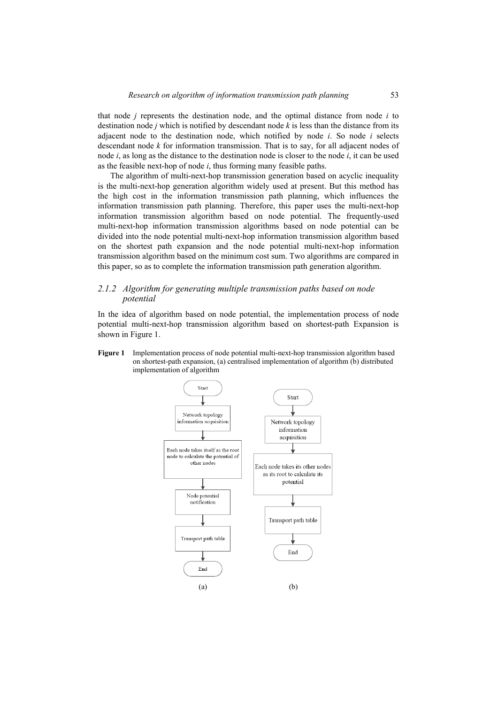that node *j* represents the destination node, and the optimal distance from node *i* to destination node *j* which is notified by descendant node *k* is less than the distance from its adjacent node to the destination node, which notified by node *i*. So node *i* selects descendant node *k* for information transmission. That is to say, for all adjacent nodes of node *i*, as long as the distance to the destination node is closer to the node *i*, it can be used as the feasible next-hop of node *i*, thus forming many feasible paths.

The algorithm of multi-next-hop transmission generation based on acyclic inequality is the multi-next-hop generation algorithm widely used at present. But this method has the high cost in the information transmission path planning, which influences the information transmission path planning. Therefore, this paper uses the multi-next-hop information transmission algorithm based on node potential. The frequently-used multi-next-hop information transmission algorithms based on node potential can be divided into the node potential multi-next-hop information transmission algorithm based on the shortest path expansion and the node potential multi-next-hop information transmission algorithm based on the minimum cost sum. Two algorithms are compared in this paper, so as to complete the information transmission path generation algorithm.

## *2.1.2 Algorithm for generating multiple transmission paths based on node potential*

In the idea of algorithm based on node potential, the implementation process of node potential multi-next-hop transmission algorithm based on shortest-path Expansion is shown in Figure 1.

**Figure 1** Implementation process of node potential multi-next-hop transmission algorithm based on shortest-path expansion, (a) centralised implementation of algorithm (b) distributed implementation of algorithm

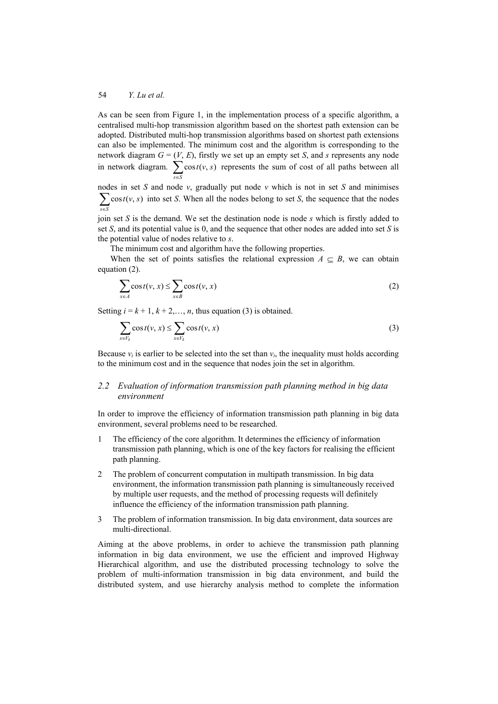As can be seen from Figure 1, in the implementation process of a specific algorithm, a centralised multi-hop transmission algorithm based on the shortest path extension can be adopted. Distributed multi-hop transmission algorithms based on shortest path extensions can also be implemented. The minimum cost and the algorithm is corresponding to the network diagram *G* = (*V*, *E*), firstly we set up an empty set *S*, and *s* represents any node in network diagram.  $\sum \cos t(v, s)$ *s S*  $t(v, s)$  $\sum_{s \in S} \cos t(v, s)$  represents the sum of cost of all paths between all nodes in set *S* and node *v*, gradually put node *v* which is not in set *S* and minimises

 $\cos t(v, s)$ *s S*  $t(v, s)$  $\sum_{s \in S} \cos t(v, s)$  into set *S*. When all the nodes belong to set *S*, the sequence that the nodes

join set *S* is the demand. We set the destination node is node *s* which is firstly added to set *S*, and its potential value is 0, and the sequence that other nodes are added into set *S* is the potential value of nodes relative to *s*.

The minimum cost and algorithm have the following properties.

When the set of points satisfies the relational expression  $A \subset B$ , we can obtain equation (2).

$$
\sum_{x \in A} \cos t(v, x) \le \sum_{x \in B} \cos t(v, x) \tag{2}
$$

Setting  $i = k + 1, k + 2, \ldots, n$ , thus equation (3) is obtained.

$$
\sum_{x \in V_k} \cos t(v, x) \le \sum_{x \in V_k} \cos t(v, x) \tag{3}
$$

Because  $v_i$  is earlier to be selected into the set than  $v_i$ , the inequality must holds according to the minimum cost and in the sequence that nodes join the set in algorithm.

# *2.2 Evaluation of information transmission path planning method in big data environment*

In order to improve the efficiency of information transmission path planning in big data environment, several problems need to be researched.

- 1 The efficiency of the core algorithm. It determines the efficiency of information transmission path planning, which is one of the key factors for realising the efficient path planning.
- 2 The problem of concurrent computation in multipath transmission. In big data environment, the information transmission path planning is simultaneously received by multiple user requests, and the method of processing requests will definitely influence the efficiency of the information transmission path planning.
- 3 The problem of information transmission. In big data environment, data sources are multi-directional.

Aiming at the above problems, in order to achieve the transmission path planning information in big data environment, we use the efficient and improved Highway Hierarchical algorithm, and use the distributed processing technology to solve the problem of multi-information transmission in big data environment, and build the distributed system, and use hierarchy analysis method to complete the information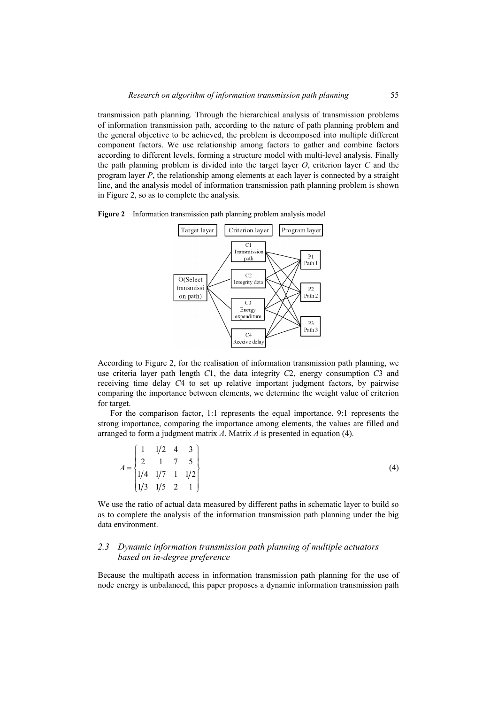transmission path planning. Through the hierarchical analysis of transmission problems of information transmission path, according to the nature of path planning problem and the general objective to be achieved, the problem is decomposed into multiple different component factors. We use relationship among factors to gather and combine factors according to different levels, forming a structure model with multi-level analysis. Finally the path planning problem is divided into the target layer *O*, criterion layer *C* and the program layer *P*, the relationship among elements at each layer is connected by a straight line, and the analysis model of information transmission path planning problem is shown in Figure 2, so as to complete the analysis.



**Figure 2** Information transmission path planning problem analysis model

According to Figure 2, for the realisation of information transmission path planning, we use criteria layer path length *C*1, the data integrity *C*2, energy consumption *C*3 and receiving time delay *C*4 to set up relative important judgment factors, by pairwise comparing the importance between elements, we determine the weight value of criterion for target.

For the comparison factor, 1:1 represents the equal importance. 9:1 represents the strong importance, comparing the importance among elements, the values are filled and arranged to form a judgment matrix *A*. Matrix *A* is presented in equation (4).

| $A = \begin{bmatrix} 1 & 1/2 & 4 & 3 \\ 2 & 1 & 7 & 5 \\ 1/4 & 1/7 & 1 & 1/2 \end{bmatrix}$ |                                                   |  |
|---------------------------------------------------------------------------------------------|---------------------------------------------------|--|
|                                                                                             |                                                   |  |
|                                                                                             | $\begin{bmatrix} 1/3 & 1/5 & 2 & 1 \end{bmatrix}$ |  |

We use the ratio of actual data measured by different paths in schematic layer to build so as to complete the analysis of the information transmission path planning under the big data environment.

## *2.3 Dynamic information transmission path planning of multiple actuators based on in-degree preference*

Because the multipath access in information transmission path planning for the use of node energy is unbalanced, this paper proposes a dynamic information transmission path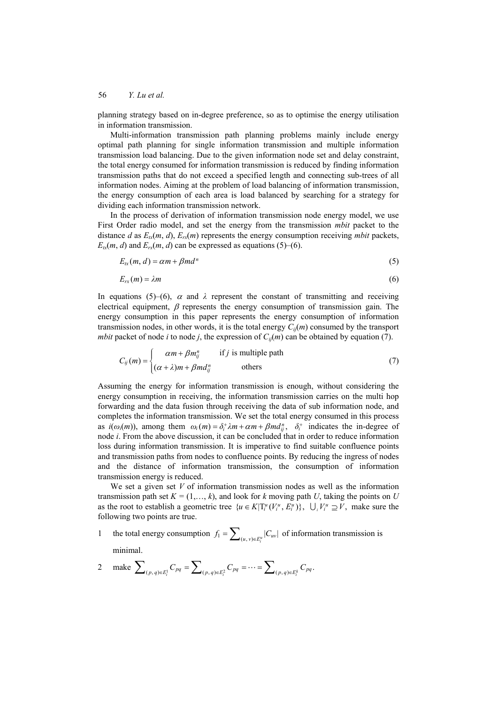planning strategy based on in-degree preference, so as to optimise the energy utilisation in information transmission.

Multi-information transmission path planning problems mainly include energy optimal path planning for single information transmission and multiple information transmission load balancing. Due to the given information node set and delay constraint, the total energy consumed for information transmission is reduced by finding information transmission paths that do not exceed a specified length and connecting sub-trees of all information nodes. Aiming at the problem of load balancing of information transmission, the energy consumption of each area is load balanced by searching for a strategy for dividing each information transmission network.

In the process of derivation of information transmission node energy model, we use First Order radio model, and set the energy from the transmission *mbit* packet to the distance *d* as  $E_{tx}(m, d)$ ,  $E_{rx}(m)$  represents the energy consumption receiving *mbit* packets,  $E_{tx}(m, d)$  and  $E_{rx}(m, d)$  can be expressed as equations (5)–(6).

$$
E_{tx}(m, d) = \alpha m + \beta m d^n \tag{5}
$$

$$
E_{rx}(m) = \lambda m \tag{6}
$$

In equations (5)–(6),  $\alpha$  and  $\lambda$  represent the constant of transmitting and receiving electrical equipment,  $\beta$  represents the energy consumption of transmission gain. The energy consumption in this paper represents the energy consumption of information transmission nodes, in other words, it is the total energy  $C_i(m)$  consumed by the transport *mbit* packet of node *i* to node *j*, the expression of  $C_i(m)$  can be obtained by equation (7).

$$
C_{ij}(m) = \begin{cases} \alpha m + \beta m_{ij}^n & \text{if } j \text{ is multiple path} \\ (\alpha + \lambda)m + \beta md_{ij}^n & \text{others} \end{cases}
$$
(7)

Assuming the energy for information transmission is enough, without considering the energy consumption in receiving, the information transmission carries on the multi hop forwarding and the data fusion through receiving the data of sub information node, and completes the information transmission. We set the total energy consumed in this process as  $i(\omega_i(m))$ , among them  $\omega_i(m) = \delta_i^+ \lambda m + \alpha m + \beta m d_{ij}^n$ ,  $\delta_i^+$  indicates the in-degree of node *i*. From the above discussion, it can be concluded that in order to reduce information loss during information transmission. It is imperative to find suitable confluence points and transmission paths from nodes to confluence points. By reducing the ingress of nodes and the distance of information transmission, the consumption of information transmission energy is reduced.

We set a given set *V* of information transmission nodes as well as the information transmission path set  $K = (1, \ldots, k)$ , and look for *k* moving path *U*, taking the points on *U* as the root to establish a geometric tree  $\{u \in K | T_i^u(V_i^u, E_i^u) \}$ ,  $\bigcup_i V_i^u \supseteq V$ , make sure the following two points are true.

1 the total energy consumption  $f_1 = \sum_{(u,v) \in E_i^u} |C_{uv}|$  of information transmission is minimal.

2 make 
$$
\sum_{(p,q)\in E_i^1} C_{pq} = \sum_{(p,q)\in E_i^2} C_{pq} = \cdots = \sum_{(p,q)\in E_i^k} C_{pq}
$$
.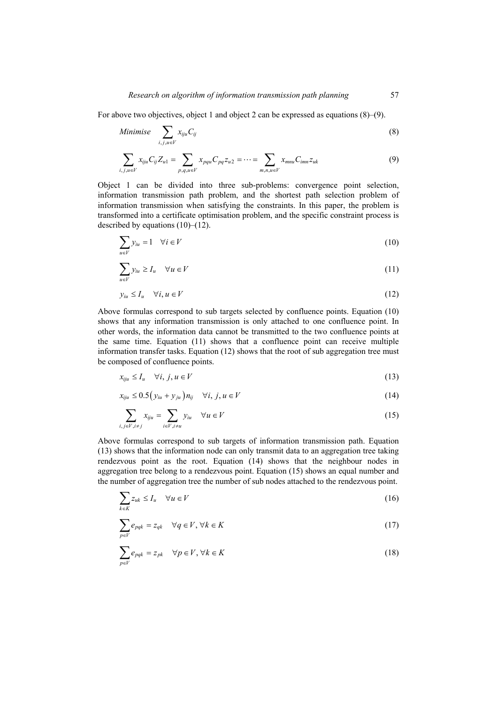For above two objectives, object 1 and object 2 can be expressed as equations (8)–(9).

Minimise 
$$
\sum_{i,j,u\in V} x_{iju} C_{ij}
$$
 (8)

$$
\sum_{i,j,u \in V} x_{iju} C_{ij} Z_{u1} = \sum_{p,q,u \in V} x_{pqu} C_{pq} z_{u2} = \dots = \sum_{m,n,u \in V} x_{mnu} C_{imn} z_{uk}
$$
(9)

Object 1 can be divided into three sub-problems: convergence point selection, information transmission path problem, and the shortest path selection problem of information transmission when satisfying the constraints. In this paper, the problem is transformed into a certificate optimisation problem, and the specific constraint process is described by equations  $(10)$ – $(12)$ .

$$
\sum_{u \in V} y_{iu} = 1 \quad \forall i \in V \tag{10}
$$

$$
\sum_{u \in V} y_{iu} \ge I_u \quad \forall u \in V \tag{11}
$$

$$
y_{iu} \le I_u \quad \forall i, u \in V \tag{12}
$$

Above formulas correspond to sub targets selected by confluence points. Equation (10) shows that any information transmission is only attached to one confluence point. In other words, the information data cannot be transmitted to the two confluence points at the same time. Equation (11) shows that a confluence point can receive multiple information transfer tasks. Equation (12) shows that the root of sub aggregation tree must be composed of confluence points.

$$
x_{iju} \le I_u \quad \forall i, j, u \in V \tag{13}
$$

$$
x_{iju} \leq 0.5(y_{iu} + y_{ju})n_{ij} \quad \forall i, j, u \in V
$$
\n
$$
(14)
$$

$$
\sum_{i,j\in V,i\neq j} x_{iju} = \sum_{i\in V,i\neq u} y_{iu} \quad \forall u \in V
$$
\n(15)

Above formulas correspond to sub targets of information transmission path. Equation (13) shows that the information node can only transmit data to an aggregation tree taking rendezvous point as the root. Equation (14) shows that the neighbour nodes in aggregation tree belong to a rendezvous point. Equation (15) shows an equal number and the number of aggregation tree the number of sub nodes attached to the rendezvous point.

$$
\sum_{k \in K} z_{uk} \le I_u \quad \forall u \in V \tag{16}
$$

$$
\sum_{p \in V} e_{pqk} = z_{qk} \quad \forall q \in V, \forall k \in K
$$
 (17)

$$
\sum_{p \in V} e_{pqk} = z_{pk} \quad \forall p \in V, \forall k \in K
$$
\n(18)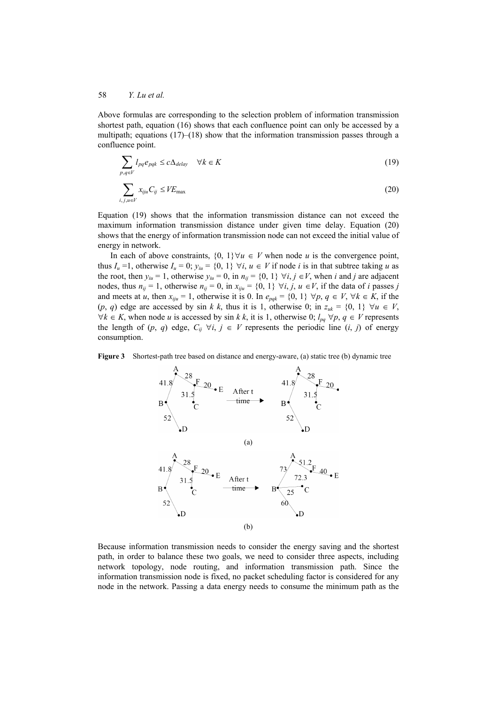Above formulas are corresponding to the selection problem of information transmission shortest path, equation (16) shows that each confluence point can only be accessed by a multipath; equations  $(17)$ – $(18)$  show that the information transmission passes through a confluence point.

$$
\sum_{p,q \in V} l_{pq} e_{pqk} \le c \Delta_{delay} \quad \forall k \in K \tag{19}
$$

$$
\sum_{i,j,u\in V} x_{iju} C_{ij} \le V E_{\text{max}} \tag{20}
$$

Equation (19) shows that the information transmission distance can not exceed the maximum information transmission distance under given time delay. Equation (20) shows that the energy of information transmission node can not exceed the initial value of energy in network.

In each of above constraints,  $\{0, 1\} \forall u \in V$  when node *u* is the convergence point, thus  $I_u = 1$ , otherwise  $I_u = 0$ ;  $y_{iu} = \{0, 1\}$   $\forall i$ ,  $u \in V$  if node *i* is in that subtree taking *u* as the root, then  $y_{iu} = 1$ , otherwise  $y_{iu} = 0$ , in  $n_{ij} = \{0, 1\} \ \forall i, j \in V$ , when *i* and *j* are adjacent nodes, thus  $n_{ij} = 1$ , otherwise  $n_{ij} = 0$ , in  $x_{iju} = \{0, 1\}$   $\forall i, j, u \in V$ , if the data of *i* passes *j* and meets at *u*, then  $x_{iju} = 1$ , otherwise it is 0. In  $e_{\text{pak}} = \{0, 1\}$   $\forall p, q \in V$ ,  $\forall k \in K$ , if the  $(p, q)$  edge are accessed by sin *k k*, thus it is 1, otherwise 0; in  $z_{uk} = \{0, 1\}$   $\forall u \in V$ ,  $\forall k \in K$ , when node *u* is accessed by sin *k k*, it is 1, otherwise 0;  $l_{pq} \forall p, q \in V$  represents the length of  $(p, q)$  edge,  $C_{ii} \forall i, j \in V$  represents the periodic line  $(i, j)$  of energy consumption.



**Figure 3** Shortest-path tree based on distance and energy-aware, (a) static tree (b) dynamic tree

Because information transmission needs to consider the energy saving and the shortest path, in order to balance these two goals, we need to consider three aspects, including network topology, node routing, and information transmission path. Since the information transmission node is fixed, no packet scheduling factor is considered for any node in the network. Passing a data energy needs to consume the minimum path as the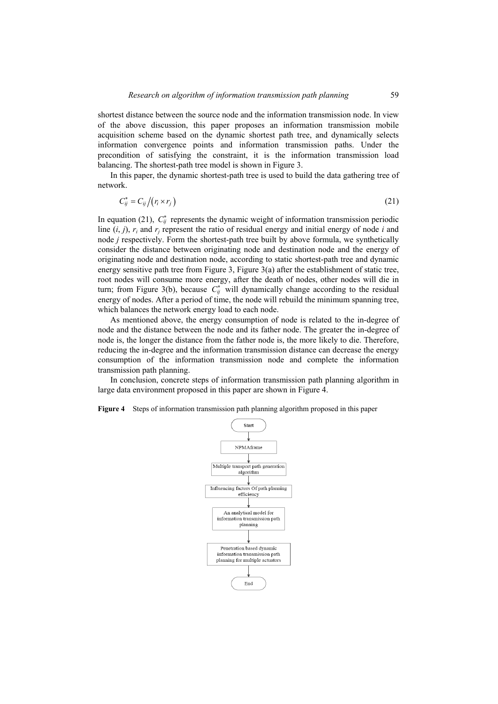shortest distance between the source node and the information transmission node. In view of the above discussion, this paper proposes an information transmission mobile acquisition scheme based on the dynamic shortest path tree, and dynamically selects information convergence points and information transmission paths. Under the precondition of satisfying the constraint, it is the information transmission load balancing. The shortest-path tree model is shown in Figure 3.

In this paper, the dynamic shortest-path tree is used to build the data gathering tree of network.

$$
C_{ij}^* = C_{ij} / (r_i \times r_j) \tag{21}
$$

In equation (21),  $C_{ii}^{*}$  represents the dynamic weight of information transmission periodic line  $(i, j)$ ,  $r_i$  and  $r_j$  represent the ratio of residual energy and initial energy of node *i* and node *j* respectively. Form the shortest-path tree built by above formula, we synthetically consider the distance between originating node and destination node and the energy of originating node and destination node, according to static shortest-path tree and dynamic energy sensitive path tree from Figure 3, Figure 3(a) after the establishment of static tree, root nodes will consume more energy, after the death of nodes, other nodes will die in turn; from Figure 3(b), because  $C_{ij}^*$  will dynamically change according to the residual energy of nodes. After a period of time, the node will rebuild the minimum spanning tree, which balances the network energy load to each node.

As mentioned above, the energy consumption of node is related to the in-degree of node and the distance between the node and its father node. The greater the in-degree of node is, the longer the distance from the father node is, the more likely to die. Therefore, reducing the in-degree and the information transmission distance can decrease the energy consumption of the information transmission node and complete the information transmission path planning.

In conclusion, concrete steps of information transmission path planning algorithm in large data environment proposed in this paper are shown in Figure 4.

**Figure 4** Steps of information transmission path planning algorithm proposed in this paper

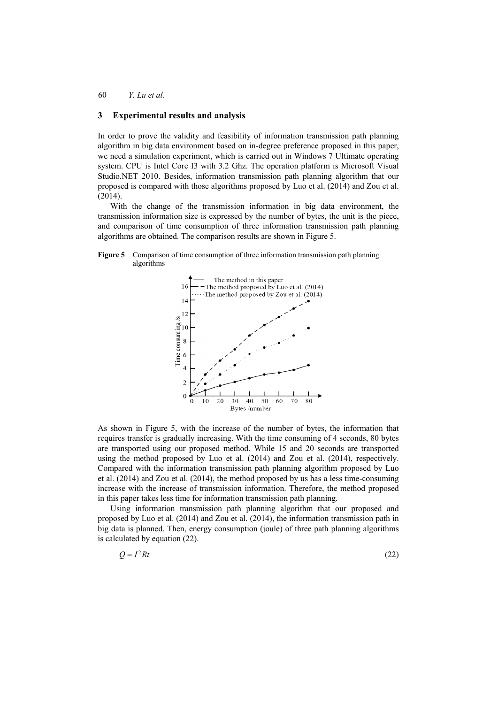## **3 Experimental results and analysis**

In order to prove the validity and feasibility of information transmission path planning algorithm in big data environment based on in-degree preference proposed in this paper, we need a simulation experiment, which is carried out in Windows 7 Ultimate operating system. CPU is Intel Core I3 with 3.2 Ghz. The operation platform is Microsoft Visual Studio.NET 2010. Besides, information transmission path planning algorithm that our proposed is compared with those algorithms proposed by Luo et al. (2014) and Zou et al. (2014).

With the change of the transmission information in big data environment, the transmission information size is expressed by the number of bytes, the unit is the piece, and comparison of time consumption of three information transmission path planning algorithms are obtained. The comparison results are shown in Figure 5.

**Figure 5** Comparison of time consumption of three information transmission path planning algorithms



As shown in Figure 5, with the increase of the number of bytes, the information that requires transfer is gradually increasing. With the time consuming of 4 seconds, 80 bytes are transported using our proposed method. While 15 and 20 seconds are transported using the method proposed by Luo et al. (2014) and Zou et al. (2014), respectively. Compared with the information transmission path planning algorithm proposed by Luo et al. (2014) and Zou et al. (2014), the method proposed by us has a less time-consuming increase with the increase of transmission information. Therefore, the method proposed in this paper takes less time for information transmission path planning.

Using information transmission path planning algorithm that our proposed and proposed by Luo et al. (2014) and Zou et al. (2014), the information transmission path in big data is planned. Then, energy consumption (joule) of three path planning algorithms is calculated by equation (22).

$$
Q = I^2 R t \tag{22}
$$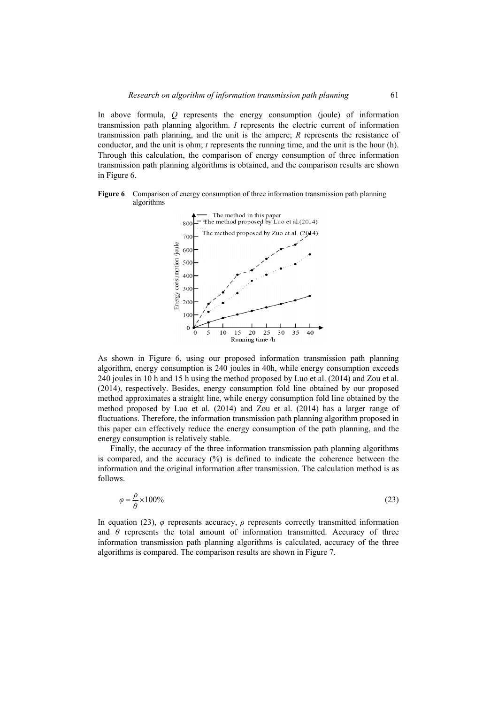In above formula, *Q* represents the energy consumption (joule) of information transmission path planning algorithm. *I* represents the electric current of information transmission path planning, and the unit is the ampere; *R* represents the resistance of conductor, and the unit is ohm; *t* represents the running time, and the unit is the hour (h). Through this calculation, the comparison of energy consumption of three information transmission path planning algorithms is obtained, and the comparison results are shown in Figure 6.





As shown in Figure 6, using our proposed information transmission path planning algorithm, energy consumption is 240 joules in 40h, while energy consumption exceeds 240 joules in 10 h and 15 h using the method proposed by Luo et al. (2014) and Zou et al. (2014), respectively. Besides, energy consumption fold line obtained by our proposed method approximates a straight line, while energy consumption fold line obtained by the method proposed by Luo et al. (2014) and Zou et al. (2014) has a larger range of fluctuations. Therefore, the information transmission path planning algorithm proposed in this paper can effectively reduce the energy consumption of the path planning, and the energy consumption is relatively stable.

Finally, the accuracy of the three information transmission path planning algorithms is compared, and the accuracy (%) is defined to indicate the coherence between the information and the original information after transmission. The calculation method is as follows.

$$
\varphi = \frac{\rho}{\theta} \times 100\% \tag{23}
$$

In equation (23),  $\varphi$  represents accuracy,  $\rho$  represents correctly transmitted information and  $\theta$  represents the total amount of information transmitted. Accuracy of three information transmission path planning algorithms is calculated, accuracy of the three algorithms is compared. The comparison results are shown in Figure 7.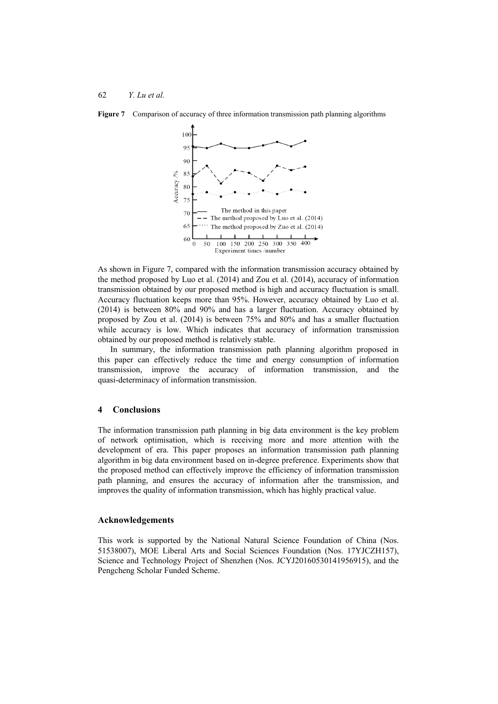



As shown in Figure 7, compared with the information transmission accuracy obtained by the method proposed by Luo et al. (2014) and Zou et al. (2014), accuracy of information transmission obtained by our proposed method is high and accuracy fluctuation is small. Accuracy fluctuation keeps more than 95%. However, accuracy obtained by Luo et al. (2014) is between 80% and 90% and has a larger fluctuation. Accuracy obtained by proposed by Zou et al. (2014) is between 75% and 80% and has a smaller fluctuation while accuracy is low. Which indicates that accuracy of information transmission obtained by our proposed method is relatively stable.

In summary, the information transmission path planning algorithm proposed in this paper can effectively reduce the time and energy consumption of information transmission, improve the accuracy of information transmission, and the quasi-determinacy of information transmission.

### **4 Conclusions**

The information transmission path planning in big data environment is the key problem of network optimisation, which is receiving more and more attention with the development of era. This paper proposes an information transmission path planning algorithm in big data environment based on in-degree preference. Experiments show that the proposed method can effectively improve the efficiency of information transmission path planning, and ensures the accuracy of information after the transmission, and improves the quality of information transmission, which has highly practical value.

### **Acknowledgements**

This work is supported by the National Natural Science Foundation of China (Nos. 51538007), MOE Liberal Arts and Social Sciences Foundation (Nos. 17YJCZH157), Science and Technology Project of Shenzhen (Nos. JCYJ20160530141956915), and the Pengcheng Scholar Funded Scheme.